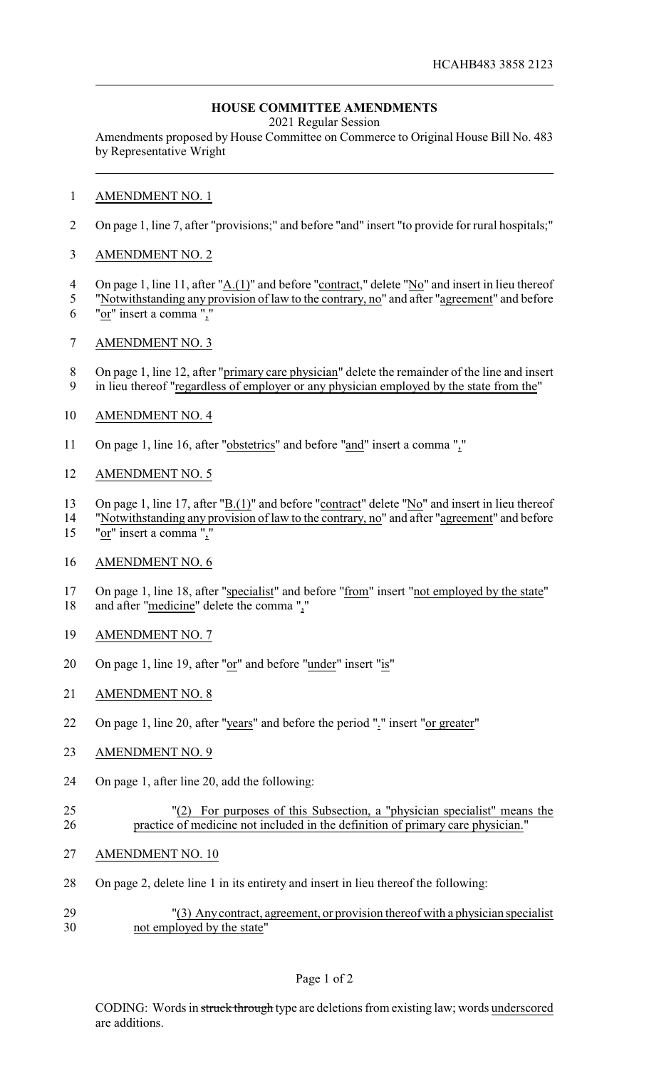## **HOUSE COMMITTEE AMENDMENTS**

2021 Regular Session

Amendments proposed by House Committee on Commerce to Original House Bill No. 483 by Representative Wright

## AMENDMENT NO. 1

- On page 1, line 7, after "provisions;" and before "and" insert "to provide for rural hospitals;"
- AMENDMENT NO. 2
- On page 1, line 11, after "A.(1)" and before "contract," delete "No" and insert in lieu thereof
- "Notwithstanding any provision of law to the contrary, no" and after "agreement" and before "or" insert a comma ","
- AMENDMENT NO. 3
- 8 On page 1, line 12, after "primary care physician" delete the remainder of the line and insert
- 9 in lieu thereof "regardless of employer or any physician employed by the state from the"
- AMENDMENT NO. 4
- On page 1, line 16, after "obstetrics" and before "and" insert a comma ","
- AMENDMENT NO. 5
- On page 1, line 17, after "B.(1)" and before "contract" delete "No" and insert in lieu thereof
- "Notwithstanding any provision of law to the contrary, no" and after "agreement" and before
- "or" insert a comma ","
- AMENDMENT NO. 6
- On page 1, line 18, after "specialist" and before "from" insert "not employed by the state" and after "medicine" delete the comma ","
- AMENDMENT NO. 7
- On page 1, line 19, after "or" and before "under" insert "is"
- AMENDMENT NO. 8
- On page 1, line 20, after "years" and before the period "." insert "or greater"
- AMENDMENT NO. 9
- On page 1, after line 20, add the following:
- "(2) For purposes of this Subsection, a "physician specialist" means the practice of medicine not included in the definition of primary care physician."
- AMENDMENT NO. 10
- On page 2, delete line 1 in its entirety and insert in lieu thereof the following:
- "(3) Any contract, agreement, or provision thereof with a physician specialist not employed by the state"